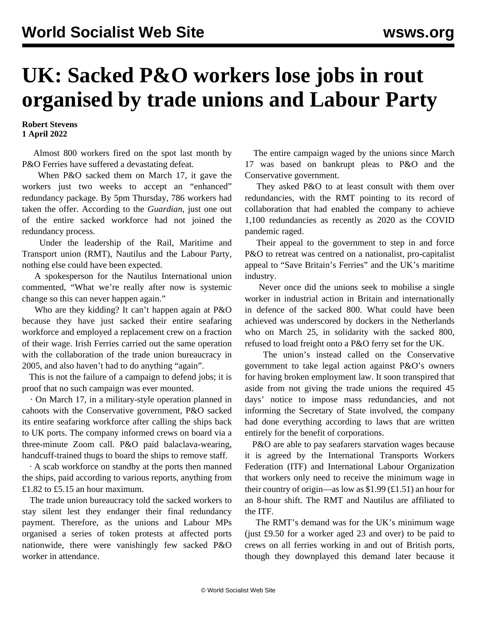## **UK: Sacked P&O workers lose jobs in rout organised by trade unions and Labour Party**

**Robert Stevens 1 April 2022**

 Almost 800 workers fired on the spot last month by P&O Ferries have suffered a devastating defeat.

 When P&O sacked them on March 17, it gave the workers just two weeks to accept an "enhanced" redundancy package. By 5pm Thursday, 786 workers had taken the offer. According to the *Guardian*, just one out of the entire sacked workforce had not joined the redundancy process.

 Under the leadership of the Rail, Maritime and Transport union (RMT), Nautilus and the Labour Party, nothing else could have been expected.

 A spokesperson for the Nautilus International union commented, "What we're really after now is systemic change so this can never happen again."

 Who are they kidding? It can't happen again at P&O because they have just sacked their entire seafaring workforce and employed a replacement crew on a fraction of their wage. Irish Ferries [carried out the same operation](Irish%20Ferries) with the collaboration of the trade union bureaucracy in 2005, and also haven't had to do anything "again".

 This is not the failure of a campaign to defend jobs; it is proof that no such campaign was ever mounted.

 · On March 17, in a military-style operation planned in cahoots with the Conservative government, P&O sacked its entire seafaring workforce after calling the ships back to UK ports. The company informed crews on board via a three-minute Zoom call. P&O paid balaclava-wearing, handcuff-trained thugs to board the ships to remove staff.

 · A scab workforce on standby at the ports then manned the ships, paid according to various reports, anything from £1.82 to £5.15 an hour maximum.

 The trade union bureaucracy told the sacked workers to stay silent lest they endanger their final redundancy payment. Therefore, as the unions and Labour MPs organised a series of token protests at affected ports nationwide, there were vanishingly few sacked P&O worker in attendance.

 The entire campaign waged by the unions since March 17 was based on bankrupt pleas to P&O and the Conservative government.

 They asked P&O to at least consult with them over redundancies, with the RMT pointing to its record of collaboration that had enabled the company to achieve 1,100 redundancies as recently as 2020 as the COVID pandemic raged.

 Their appeal to the government to step in and force P&O to retreat was centred on a nationalist, pro-capitalist appeal to "Save Britain's Ferries" and the UK's maritime industry.

 Never once did the unions seek to mobilise a single worker in industrial action in Britain and internationally in defence of the sacked 800. What could have been achieved was underscored by [dockers in the Netherlands](/en/articles/2022/03/27/popr-m27.html) who on March 25, in solidarity with the sacked 800, refused to load freight onto a P&O ferry set for the UK.

 The union's instead called on the Conservative government to take legal action against P&O's owners for having broken employment law. It soon transpired that aside from not giving the trade unions the required 45 days' notice to impose mass redundancies, and not informing the Secretary of State involved, the company had done everything according to laws that are written entirely for the benefit of corporations.

 P&O are able to pay seafarers starvation wages because it is agreed by the International Transports Workers Federation (ITF) and International Labour Organization that workers only need to receive the minimum wage in their country of origin—as low as  $$1.99$  (£1.51) an hour for an 8-hour shift. The RMT and Nautilus are affiliated to the ITF.

 The RMT's [demand](/en/articles/2022/03/25/pano-m25.html) was for the UK's minimum wage (just £9.50 for a worker aged 23 and over) to be paid to crews on all ferries working in and out of British ports, though they downplayed this demand later because it